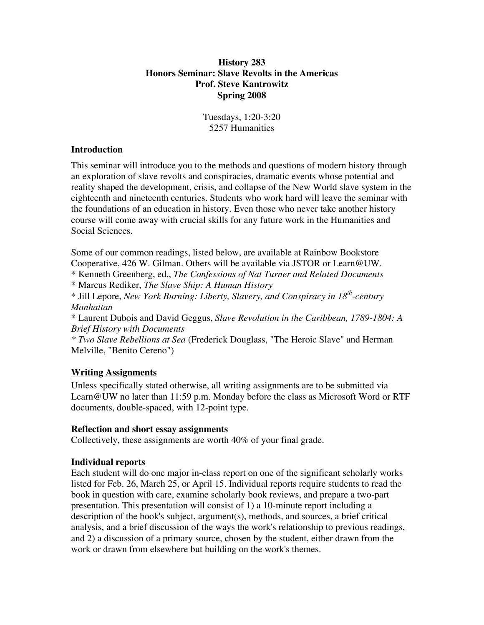#### **History 283 Honors Seminar: Slave Revolts in the Americas Prof. Steve Kantrowitz Spring 2008**

Tuesdays, 1:20-3:20 5257 Humanities

#### **Introduction**

This seminar will introduce you to the methods and questions of modern history through an exploration of slave revolts and conspiracies, dramatic events whose potential and reality shaped the development, crisis, and collapse of the New World slave system in the eighteenth and nineteenth centuries. Students who work hard will leave the seminar with the foundations of an education in history. Even those who never take another history course will come away with crucial skills for any future work in the Humanities and Social Sciences.

Some of our common readings, listed below, are available at Rainbow Bookstore Cooperative, 426 W. Gilman. Others will be available via JSTOR or Learn@UW.

\* Kenneth Greenberg, ed., *The Confessions of Nat Turner and Related Documents* 

\* Marcus Rediker, *The Slave Ship: A Human History*

\* Jill Lepore, *New York Burning: Liberty, Slavery, and Conspiracy in 18th-century Manhattan* 

\* Laurent Dubois and David Geggus, *Slave Revolution in the Caribbean, 1789-1804: A Brief History with Documents* 

*\* Two Slave Rebellions at Sea* (Frederick Douglass, "The Heroic Slave" and Herman Melville, "Benito Cereno")

#### **Writing Assignments**

Unless specifically stated otherwise, all writing assignments are to be submitted via Learn@UW no later than 11:59 p.m. Monday before the class as Microsoft Word or RTF documents, double-spaced, with 12-point type.

#### **Reflection and short essay assignments**

Collectively, these assignments are worth 40% of your final grade.

#### **Individual reports**

Each student will do one major in-class report on one of the significant scholarly works listed for Feb. 26, March 25, or April 15. Individual reports require students to read the book in question with care, examine scholarly book reviews, and prepare a two-part presentation. This presentation will consist of 1) a 10-minute report including a description of the book's subject, argument(s), methods, and sources, a brief critical analysis, and a brief discussion of the ways the work's relationship to previous readings, and 2) a discussion of a primary source, chosen by the student, either drawn from the work or drawn from elsewhere but building on the work's themes.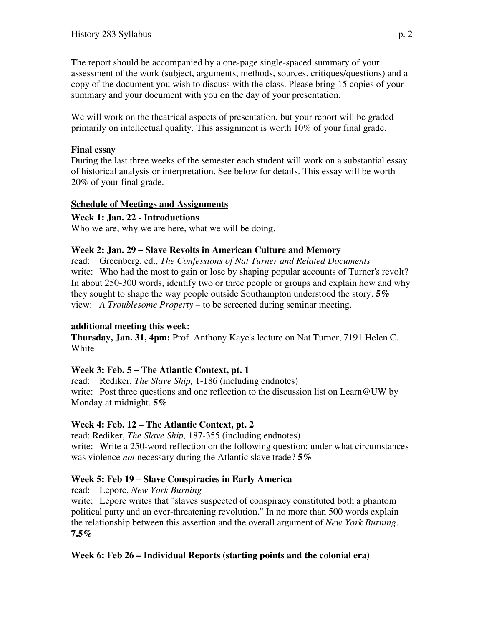The report should be accompanied by a one-page single-spaced summary of your assessment of the work (subject, arguments, methods, sources, critiques/questions) and a copy of the document you wish to discuss with the class. Please bring 15 copies of your summary and your document with you on the day of your presentation.

We will work on the theatrical aspects of presentation, but your report will be graded primarily on intellectual quality. This assignment is worth 10% of your final grade.

#### **Final essay**

During the last three weeks of the semester each student will work on a substantial essay of historical analysis or interpretation. See below for details. This essay will be worth 20% of your final grade.

#### **Schedule of Meetings and Assignments**

#### **Week 1: Jan. 22 - Introductions**

Who we are, why we are here, what we will be doing.

#### **Week 2: Jan. 29 – Slave Revolts in American Culture and Memory**

read: Greenberg, ed., *The Confessions of Nat Turner and Related Documents*  write: Who had the most to gain or lose by shaping popular accounts of Turner's revolt? In about 250-300 words, identify two or three people or groups and explain how and why they sought to shape the way people outside Southampton understood the story. **5%**  view: *A Troublesome Property –* to be screened during seminar meeting.

#### **additional meeting this week:**

**Thursday, Jan. 31, 4pm:** Prof. Anthony Kaye's lecture on Nat Turner, 7191 Helen C. White

## **Week 3: Feb. 5 – The Atlantic Context, pt. 1**

read: Rediker, *The Slave Ship,* 1-186 (including endnotes) write: Post three questions and one reflection to the discussion list on Learn @UW by Monday at midnight. **5%** 

## **Week 4: Feb. 12 – The Atlantic Context, pt. 2**

read: Rediker, *The Slave Ship,* 187-355 (including endnotes) write: Write a 250-word reflection on the following question: under what circumstances was violence *not* necessary during the Atlantic slave trade? **5%** 

## **Week 5: Feb 19 – Slave Conspiracies in Early America**

read: Lepore, *New York Burning* 

write: Lepore writes that "slaves suspected of conspiracy constituted both a phantom political party and an ever-threatening revolution." In no more than 500 words explain the relationship between this assertion and the overall argument of *New York Burning*. **7.5%** 

## **Week 6: Feb 26 – Individual Reports (starting points and the colonial era)**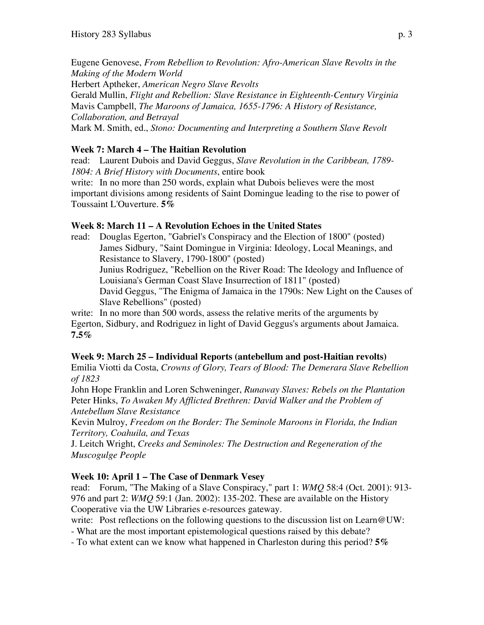Eugene Genovese, *From Rebellion to Revolution: Afro-American Slave Revolts in the Making of the Modern World*  Herbert Aptheker, *American Negro Slave Revolts*  Gerald Mullin, *Flight and Rebellion: Slave Resistance in Eighteenth-Century Virginia*  Mavis Campbell, *The Maroons of Jamaica, 1655-1796: A History of Resistance, Collaboration, and Betrayal*  Mark M. Smith, ed., *Stono: Documenting and Interpreting a Southern Slave Revolt* 

# **Week 7: March 4 – The Haitian Revolution**

read: Laurent Dubois and David Geggus, *Slave Revolution in the Caribbean, 1789- 1804: A Brief History with Documents*, entire book

write: In no more than 250 words, explain what Dubois believes were the most important divisions among residents of Saint Domingue leading to the rise to power of Toussaint L'Ouverture. **5%** 

## **Week 8: March 11 – A Revolution Echoes in the United States**

read: Douglas Egerton, "Gabriel's Conspiracy and the Election of 1800" (posted) James Sidbury, "Saint Domingue in Virginia: Ideology, Local Meanings, and Resistance to Slavery, 1790-1800" (posted) Junius Rodriguez, "Rebellion on the River Road: The Ideology and Influence of Louisiana's German Coast Slave Insurrection of 1811" (posted) David Geggus, "The Enigma of Jamaica in the 1790s: New Light on the Causes of Slave Rebellions" (posted) write: In no more than 500 words, assess the relative merits of the arguments by

Egerton, Sidbury, and Rodriguez in light of David Geggus's arguments about Jamaica. **7.5%** 

## **Week 9: March 25 – Individual Reports (antebellum and post-Haitian revolts)**

Emilia Viotti da Costa, *Crowns of Glory, Tears of Blood: The Demerara Slave Rebellion of 1823* 

John Hope Franklin and Loren Schweninger, *Runaway Slaves: Rebels on the Plantation*  Peter Hinks, *To Awaken My Afflicted Brethren: David Walker and the Problem of Antebellum Slave Resistance* 

Kevin Mulroy, *Freedom on the Border: The Seminole Maroons in Florida, the Indian Territory, Coahuila, and Texas* 

J. Leitch Wright, *Creeks and Seminoles: The Destruction and Regeneration of the Muscogulge People* 

## **Week 10: April 1 – The Case of Denmark Vesey**

read: Forum, "The Making of a Slave Conspiracy," part 1: *WMQ* 58:4 (Oct. 2001): 913- 976 and part 2: *WMQ* 59:1 (Jan. 2002): 135-202. These are available on the History Cooperative via the UW Libraries e-resources gateway.

write: Post reflections on the following questions to the discussion list on Learn@UW: - What are the most important epistemological questions raised by this debate?

- To what extent can we know what happened in Charleston during this period? **5%**